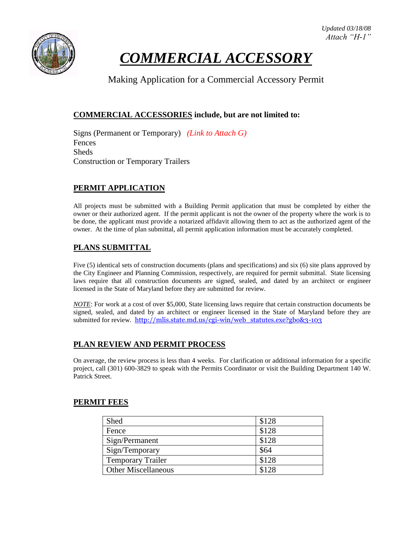



# *COMMERCIAL ACCESSORY*

Making Application for a Commercial Accessory Permit

#### **COMMERCIAL ACCESSORIES include, but are not limited to:**

Signs (Permanent or Temporary) *(Link to Attach G)* Fences Sheds Construction or Temporary Trailers

#### **PERMIT APPLICATION**

All projects must be submitted with a Building Permit application that must be completed by either the owner or their authorized agent. If the permit applicant is not the owner of the property where the work is to be done, the applicant must provide a notarized affidavit allowing them to act as the authorized agent of the owner. At the time of plan submittal, all permit application information must be accurately completed.

### **PLANS SUBMITTAL**

Five (5) identical sets of construction documents (plans and specifications) and six (6) site plans approved by the City Engineer and Planning Commission, respectively, are required for permit submittal. State licensing laws require that all construction documents are signed, sealed, and dated by an architect or engineer licensed in the State of Maryland before they are submitted for review.

*NOTE*: For work at a cost of over \$5,000, State licensing laws require that certain construction documents be signed, sealed, and dated by an architect or engineer licensed in the State of Maryland before they are submitted for review. [http://mlis.state.md.us/cgi-win/web\\_statutes.exe?gbo&3-103](http://mlis.state.md.us/cgi-win/web_statutes.exe?gbo&3-103)

#### **PLAN REVIEW AND PERMIT PROCESS**

On average, the review process is less than 4 weeks. For clarification or additional information for a specific project, call (301) 600-3829 to speak with the Permits Coordinator or visit the Building Department 140 W. Patrick Street.

#### **PERMIT FEES**

| Shed                       | \$128 |
|----------------------------|-------|
| Fence                      | \$128 |
| Sign/Permanent             | \$128 |
| Sign/Temporary             | \$64  |
| <b>Temporary Trailer</b>   | \$128 |
| <b>Other Miscellaneous</b> | \$128 |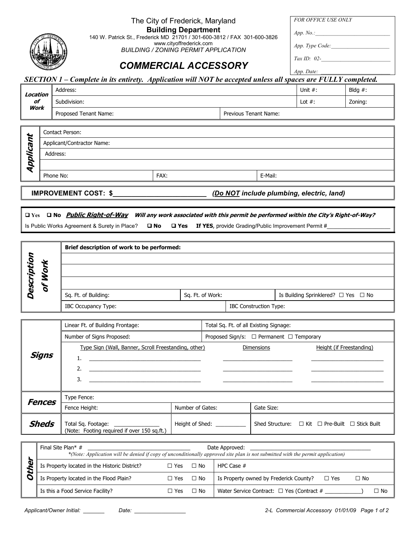The City of Frederick, Maryland

FOR OFFICE USE ONLY



Building Department

140 W. Patrick St., Frederick MD 21701 / 301-600-3812 / FAX 301-600-3826

www.cityoffrederick.com BUILDING / ZONING PERMIT APPLICATION App. Type Code:

Tax ID:  $02$ -

## COMMERCIAL ACCESSORY

App. Date:

 $App. No.$ :

## SECTION 1 – Complete in its entirety. Application will NOT be accepted unless all spaces are FULLY completed.

| Location   | Address:              | Unit $#$ :            | Bldg $#$ : |
|------------|-----------------------|-----------------------|------------|
| of<br>Work | Subdivision:          | Lot $#$ :             | Zoning:    |
|            | Proposed Tenant Name: | Previous Tenant Name: |            |

| ₩       | Contact Person:            |      |         |  |
|---------|----------------------------|------|---------|--|
| г<br>C) | Applicant/Contractor Name: |      |         |  |
|         | Address:                   |      |         |  |
| D       |                            |      |         |  |
|         | Phone No:                  | FAX: | E-Mail: |  |
|         |                            |      |         |  |

IMPROVEMENT COST: \$\_\_\_\_\_\_\_\_\_\_\_\_\_\_\_\_\_\_\_\_\_\_\_\_\_ (Do NOT include plumbing, electric, land)

Q Yes Q No Public Right-of-Way Will any work associated with this permit be performed within the City's Right-of-Way? Is Public Works Agreement & Surety in Place?  $\Box$  No  $\Box$  Yes If YES, provide Grading/Public Improvement Permit #

|             | Brief description of work to be performed: |                  |                               |                                     |
|-------------|--------------------------------------------|------------------|-------------------------------|-------------------------------------|
| ijo<br>⊻    |                                            |                  |                               |                                     |
| D<br>÷      |                                            |                  |                               |                                     |
| õ<br>o<br>c | Sq. Ft. of Building:                       | Sq. Ft. of Work: |                               | Is Building Sprinklered? . Yes . No |
|             | <b>IBC Occupancy Type:</b>                 |                  | <b>IBC Construction Type:</b> |                                     |

|               | Linear Ft. of Building Frontage:                                                         |                  | Total Sq. Ft. of all Existing Signage: |                   |                                                 |  |
|---------------|------------------------------------------------------------------------------------------|------------------|----------------------------------------|-------------------|-------------------------------------------------|--|
|               | Number of Signs Proposed:                                                                |                  | Proposed Sign/s: . Permanent .         |                   | Temporary                                       |  |
| Signs         | Type Sign (Wall, Banner, Scroll Freestanding, other)<br>1.<br>2.<br>3.                   |                  |                                        | <b>Dimensions</b> | Height (if Freestanding)                        |  |
| <b>Fences</b> | Type Fence:                                                                              |                  |                                        |                   |                                                 |  |
|               | Fence Height:                                                                            | Number of Gates: |                                        | Gate Size:        |                                                 |  |
| <b>Sheds</b>  | Total Sq. Footage: <u>_______________</u><br>(Note: Footing required if over 150 sq.ft.) |                  | Height of Shed: __________             |                   | Shed Structure: . Kit . Pre-Built . Stick Built |  |

| Final Site Plan* $#$<br>Date Approved:<br>*(Note: Application will be denied if copy of unconditionally approved site plan is not submitted with the permit application) |            |                                                     |  |
|--------------------------------------------------------------------------------------------------------------------------------------------------------------------------|------------|-----------------------------------------------------|--|
| Is Property located in the Historic District?                                                                                                                            | No<br>Yes. | HPC Case #                                          |  |
| Is Property located in the Flood Plain?                                                                                                                                  | Yes . No   | Is Property owned by Frederick County?<br>Yes<br>No |  |
| Is this a Food Service Facility?                                                                                                                                         | No<br>Yes  | Water Service Contract: .<br>No<br>Yes (Contract #  |  |